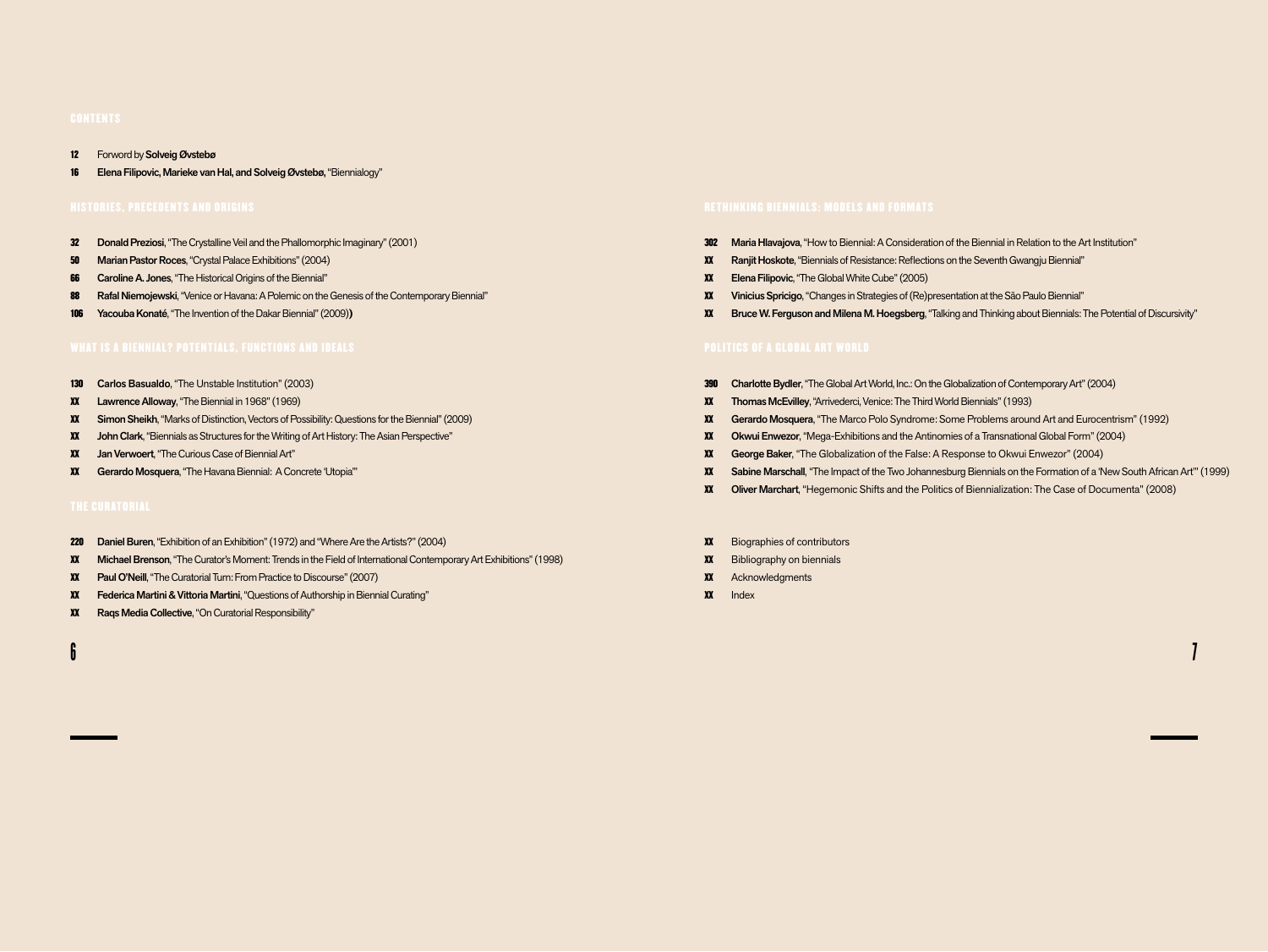- 12 Forword by Solveig Øvstebø
- 16 Elena Filipovic, Marieke van Hal, and Solveig Øvstebø, "Biennialogy"

- 32 Donald Preziosi, "The Crystalline Veil and the Phallomorphic Imaginary" (2001)
- 50 Marian Pastor Roces, "Crystal Palace Exhibitions" (2004)
- **66** Caroline A. Jones, "The Historical Origins of the Biennial"
- 88 Rafal Niemojewski, "Venice or Havana: A Polemic on the Genesis of the Contemporary Biennial"
- 106 Yacouba Konaté, "The Invention of the Dakar Biennial" (2009)**)**

- 130 Carlos Basualdo, "The Unstable Institution" (2003)
- xx Lawrence Alloway, "The Biennial in 1968" (1969)
- xx Simon Sheikh, "Marks of Distinction, Vectors of Possibility: Questions for the Biennial" (2009)
- xx John Clark, "Biennials as Structures for the Writing of Art History: The Asian Perspective"
- xx Jan Verwoert,"The Curious Case of Biennial Art"
- xx Gerardo Mosquera,"The Havana Biennial: A Concrete 'Utopia'"

- 220 Daniel Buren, "Exhibition of an Exhibition" (1972) and "Where Are the Artists?" (2004)
- xx Michael Brenson, "The Curator's Moment: Trends in the Field of International Contemporary Art Exhibitions" (1998)
- xx Paul O'Neill, "The Curatorial Turn: From Practice to Discourse" (2007)
- xx Federica Martini & Vittoria Martini, "Questions of Authorship in Biennial Curating"
- xx Raqs Media Collective, "On Curatorial Responsibility"

- 302 Maria Hlavajova, "How to Biennial: A Consideration of the Biennial in Relation to the Art Institution"
- xx Ranjit Hoskote, "Biennials of Resistance: Reflections on the Seventh Gwangju Biennial"
- xx Elena Filipovic, "The Global White Cube" (2005)
- xx Vinicius Spricigo, "Changes in Strategies of (Re)presentation at the São Paulo Biennial"
- xx Bruce W. Ferguson and Milena M. Hoegsberg, "Talking and Thinking about Biennials: The Potential of Discursivity"

- 390 Charlotte Bydler, "The Global Art World, Inc.: On the Globalization of Contemporary Art" (2004)
- xx Thomas McEvilley, "Arrivederci, Venice: The Third World Biennials" (1993)
- xx Gerardo Mosquera, "The Marco Polo Syndrome: Some Problems around Art and Eurocentrism" (1992)
- xx OkwuiEnwezor, "Mega-Exhibitions and the Antinomies of a Transnational Global Form" (2004)
- xx George Baker, "The Globalization of the False: A Response to Okwui Enwezor" (2004)
- xx Sabine Marschall, "The Impact of the Two Johannesburg Biennials on the Formation of a 'New South African Art'" (1999)
- xx Oliver Marchart, "Hegemonic Shifts and the Politics of Biennialization: The Case of Documenta" (2008)
- xx Biographies of contributors
- xx Bibliography on biennials
- **XX** Acknowledgments
- xx Index

 $\mathbf 6$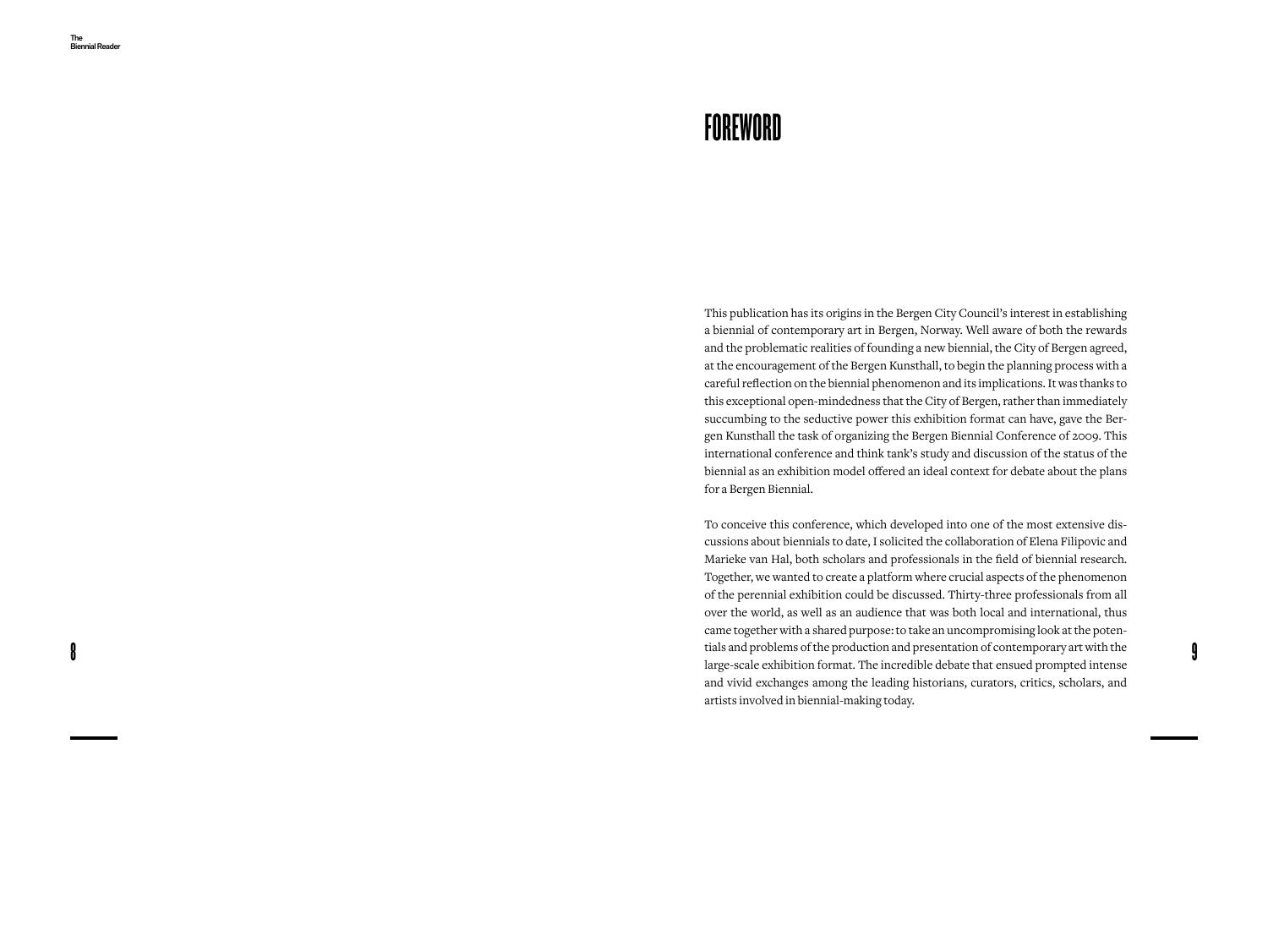8

## **FOREWORD**

This publication has its origins in the Bergen City Council's interest in establishing a biennial of contemporary art in Bergen, Norway. Well aware of both the rewards and the problematic realities of founding a new biennial, the City of Bergen agreed, at the encouragement of the Bergen Kunsthall, to begin the planning process with a careful reflection on the biennial phenomenon and its implications. It was thanks to this exceptional open-mindedness that the City of Bergen, rather than immediately succumbing to the seductive power this exhibition format can have, gave the Ber gen Kunsthall the task of organizing the Bergen Biennial Conference of 2009. This international conference and think tank's study and discussion of the status of the biennial as an exhibition model offered an ideal context for debate about the plans for a Bergen Biennial.

To conceive this conference, which developed into one of the most extensive dis cussions about biennials to date, I solicited the collaboration of Elena Filipovic and Marieke van Hal, both scholars and professionals in the field of biennial research. Together, we wanted to create a platform where crucial aspects of the phenomenon of the perennial exhibition could be discussed. Thirty-three professionals from all over the world, as well as an audience that was both local and international, thus came together with a shared purpose: to take an uncompromising look at the poten tials and problems of the production and presentation of contemporary art with the large-scale exhibition format. The incredible debate that ensued prompted intense and vivid exchanges among the leading historians, curators, critics, scholars, and artists involved in biennial-making today.

9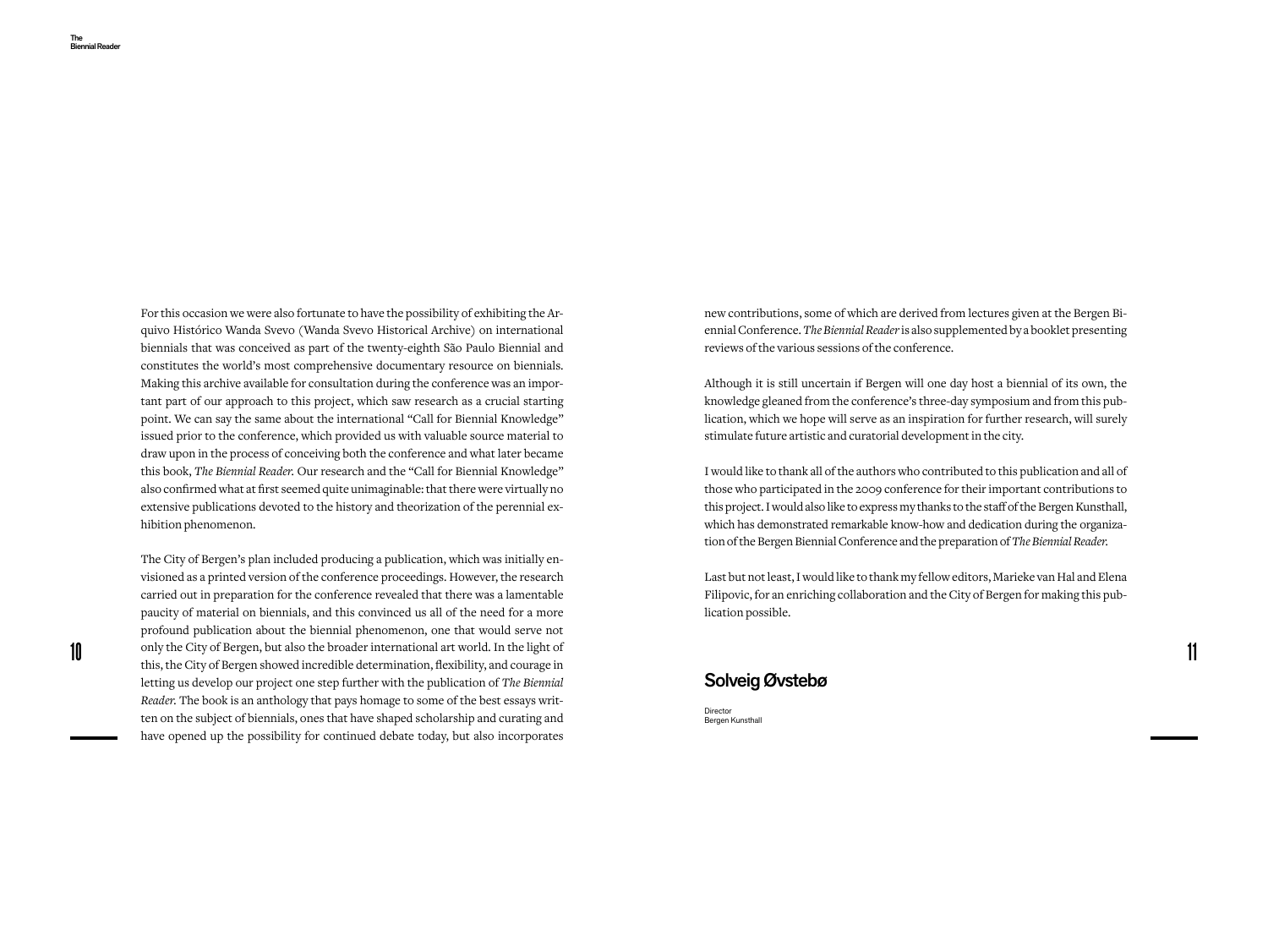For this occasion we were also fortunate to have the possibility of exhibiting the Arquivo Histórico Wanda Svevo (Wanda Svevo Historical Archive) on international biennials that was conceived as part of the twenty-eighth São Paulo Biennial and constitutes the world's most comprehensive documentary resource on biennials. Making this archive available for consultation during the conference was an important part of our approach to this project, which saw research as a crucial starting point. We can say the same about the international "Call for Biennial Knowledge" issued prior to the conference, which provided us with valuable source material to draw upon in the process of conceiving both the conference and what later became this book, *The Biennial Reader.* Our research and the "Call for Biennial Knowledge" also confirmed what at first seemed quite unimaginable: that there were virtually no extensive publications devoted to the history and theorization of the perennial exhibition phenomenon.

10 11 11 only the City of Bergen, but also the broader international art world. In the light of 11 and courses in The City of Bergen's plan included producing a publication, which was initially envisioned as a printed version of the conference proceedings. However, the research carried out in preparation for the conference revealed that there was a lamentable paucity of material on biennials, and this convinced us all of the need for a more profound publication about the biennial phenomenon, one that would serve not this, the City of Bergen showed incredible determination, flexibility, and courage in letting us develop our project one step further with the publication of *The Biennial Reader.* The book is an anthology that pays homage to some of the best essays written on the subject of biennials, ones that have shaped scholarship and curating and have opened up the possibility for continued debate today, but also incorporates

new contributions, some of which are derived from lectures given at the Bergen Biennial Conference. *The Biennial Reader* is also supplemented by a booklet presenting reviews of the various sessions of the conference.

Although it is still uncertain if Bergen will one day host a biennial of its own, the knowledge gleaned from the conference's three-day symposium and from this publication, which we hope will serve as an inspiration for further research, will surely stimulate future artistic and curatorial development in the city.

I would like to thank all of the authors who contributed to this publication and all of those who participated in the 2009 conference for their important contributions to this project. I would also like to express my thanks to the staff of the Bergen Kunsthall, which has demonstrated remarkable know-how and dedication during the organization of the Bergen Biennial Conference and the preparation of *The Biennial Reader.*

Last but not least, I would like to thank my fellow editors, Marieke van Hal and Elena Filipovic, for an enriching collaboration and the City of Bergen for making this publication possible.

### Solveig Øvstebø

Director Bergen Kunsthall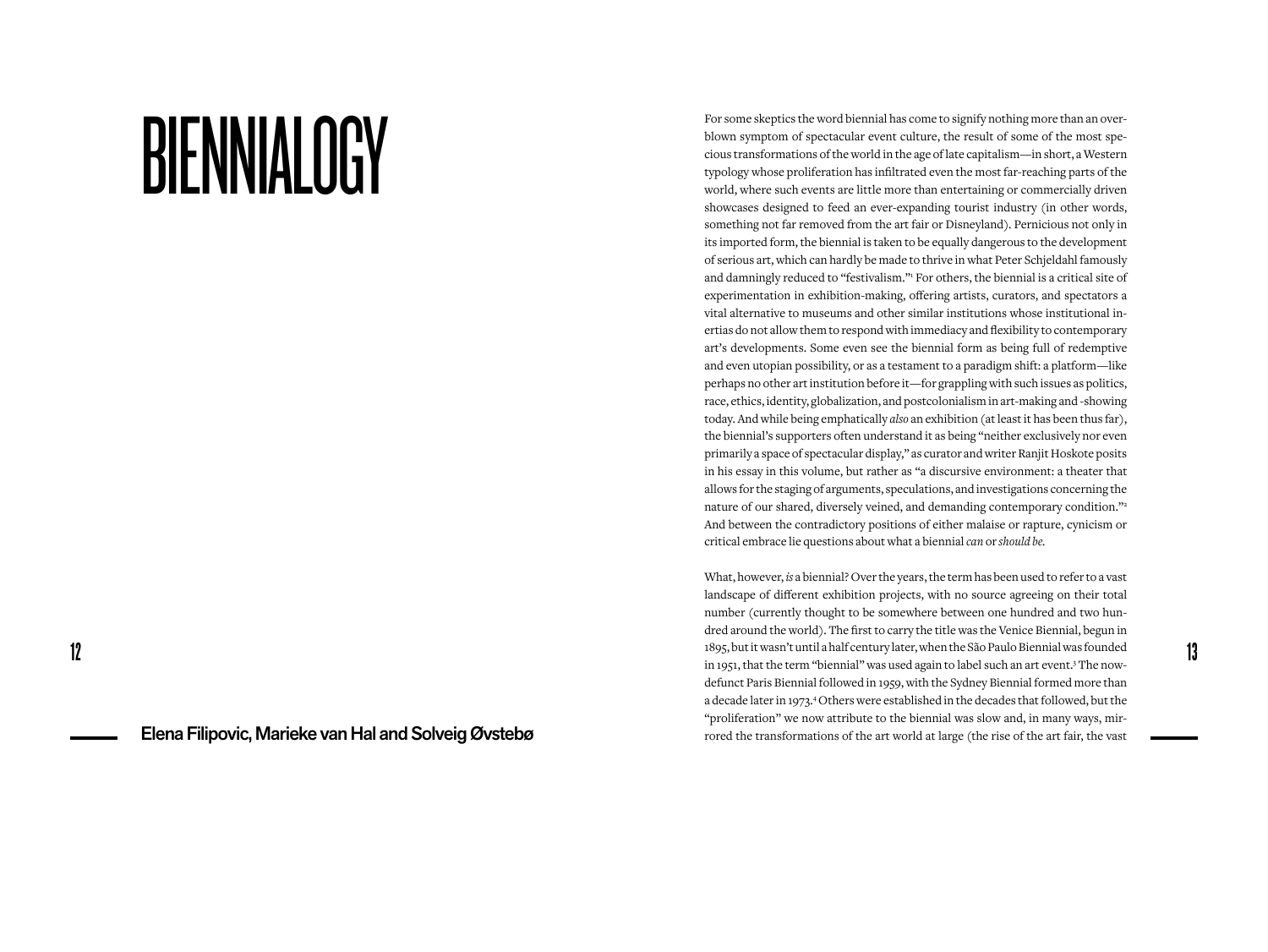# BIENNIALOGY

Elena Filipovic, Marieke van Hal and Solveig Øvstebø

For some skeptics the word biennial has come to signify nothing more than an overblown symptom of spectacular event culture, the result of some of the most specious transformations of the world in the age of late capitalism—in short, a Western typology whose proliferation has infiltrated even the most far-reaching parts of the world, where such events are little more than entertaining or commercially driven showcases designed to feed an ever-expanding tourist industry (in other words, something not far removed from the art fair or Disneyland). Pernicious not only in its imported form, the biennial is taken to be equally dangerous to the development of serious art, which can hardly be made to thrive in what Peter Schjeldahl famously and damningly reduced to "festivalism." For others, the biennial is a critical site of experimentation in exhibition-making, offering artists, curators, and spectators a vital alternative to museums and other similar institutions whose institutional inertias do not allow them to respond with immediacy and flexibility to contemporary art's developments. Some even see the biennial form as being full of redemptive and even utopian possibility, or as a testament to a paradigm shift: a platform—like perhaps no other art institution before it—for grappling with such issues as politics, race, ethics, identity, globalization, and postcolonialism in art-making and -showing today. And while being emphatically *also* an exhibition (at least it has been thus far), the biennial's supporters often understand it as being "neither exclusively nor even primarily a space of spectacular display," as curator and writer Ranjit Hoskote posits in his essay in this volume, but rather as "a discursive environment: a theater that allows for the staging of arguments, speculations, and investigations concerning the nature of our shared, diversely veined, and demanding contemporary condition."2 And between the contradictory positions of either malaise or rapture, cynicism or critical embrace lie questions about what a biennial *can* or *should be.*

 $12$  1895, but it wasn't until a half century later, when the São Paulo Biennial was founded in 1051, that the term "biennial" was used again to label such an art event  $3$  The now-What, however, *is* a biennial? Over the years, the term has been used to refer to a vast landscape of different exhibition projects, with no source agreeing on their total number (currently thought to be somewhere between one hundred and two hundred around the world). The first to carry the title was the Venice Biennial, begun in in 1951, that the term "biennial" was used again to label such an art event.<sup>3</sup> The nowdefunct Paris Biennial followed in 1959, with the Sydney Biennial formed more than a decade later in 1973.<sup>4</sup> Others were established in the decades that followed, but the "proliferation" we now attribute to the biennial was slow and, in many ways, mirrored the transformations of the art world at large (the rise of the art fair, the vast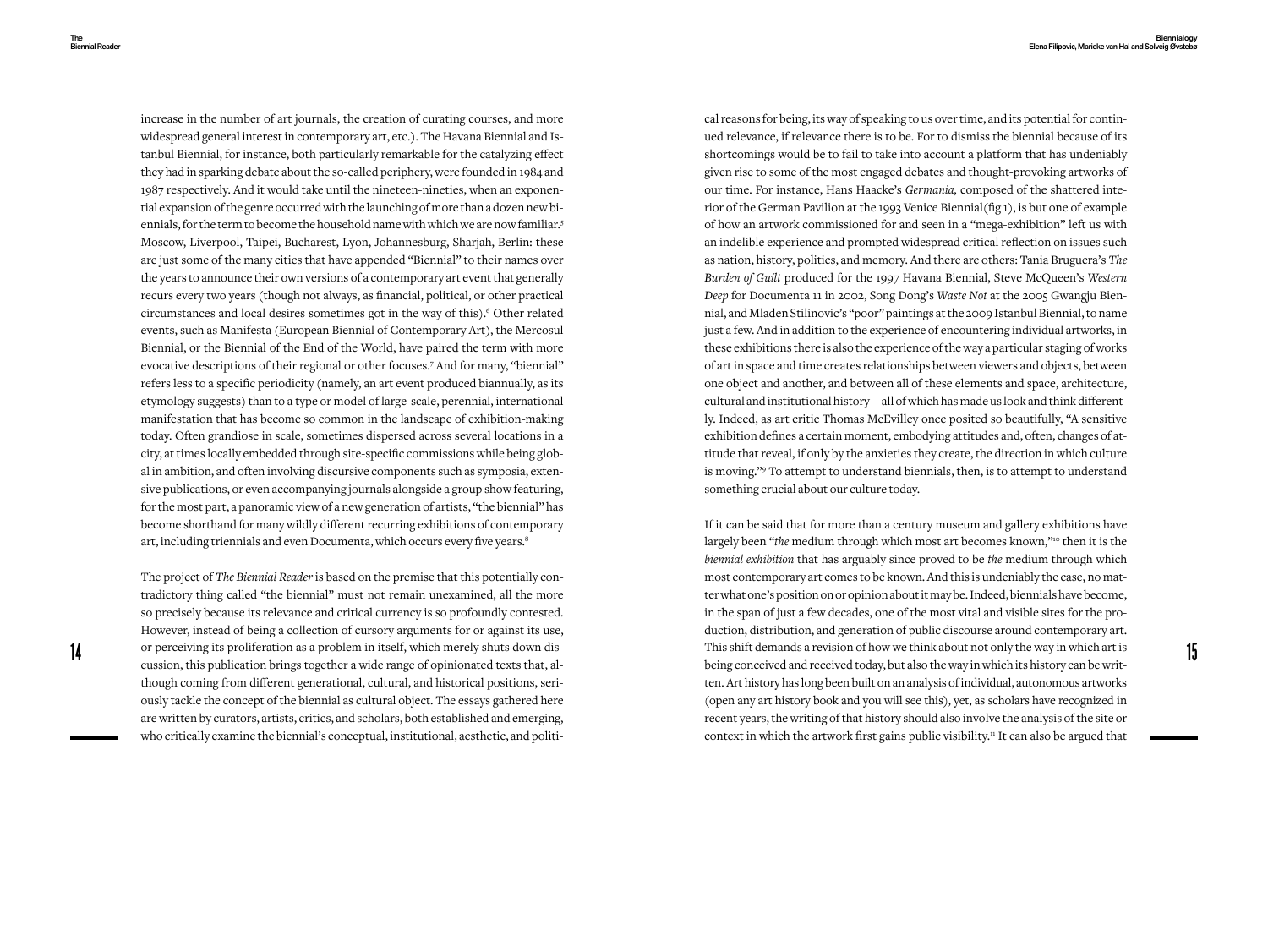increase in the number of art journals, the creation of curating courses, and more widespread general interest in contemporary art, etc.). The Havana Biennial and Istanbul Biennial, for instance, both particularly remarkable for the catalyzing effect they had in sparking debate about the so-called periphery, were founded in 1984 and 1987 respectively. And it would take until the nineteen-nineties, when an exponential expansion of the genre occurred with the launching of more than a dozen new biennials, for the term to become the household name with which we are now familiar.<sup>5</sup> Moscow, Liverpool, Taipei, Bucharest, Lyon, Johannesburg, Sharjah, Berlin: these are just some of the many cities that have appended "Biennial" to their names over the years to announce their own versions of a contemporary art event that generally recurs every two years (though not always, as financial, political, or other practical circumstances and local desires sometimes got in the way of this).<sup>6</sup> Other related events, such as Manifesta (European Biennial of Contemporary Art), the Mercosul Biennial, or the Biennial of the End of the World, have paired the term with more evocative descriptions of their regional or other focuses.<sup>7</sup> And for many, "biennial" refers less to a specific periodicity (namely, an art event produced biannually, as its etymology suggests) than to a type or model of large-scale, perennial, international manifestation that has become so common in the landscape of exhibition-making today. Often grandiose in scale, sometimes dispersed across several locations in a city, at times locally embedded through site-specific commissions while being global in ambition, and often involving discursive components such as symposia, extensive publications, or even accompanying journals alongside a group show featuring, for the most part, a panoramic view of a new generation of artists, "the biennial" has become shorthand for many wildly different recurring exhibitions of contemporary art, including triennials and even Documenta, which occurs every five years.<sup>8</sup>

The project of *The Biennial Reader* is based on the premise that this potentially contradictory thing called "the biennial" must not remain unexamined, all the more so precisely because its relevance and critical currency is so profoundly contested. However, instead of being a collection of cursory arguments for or against its use, or perceiving its proliferation as a problem in itself, which merely shuts down discussion, this publication brings together a wide range of opinionated texts that, although coming from different generational, cultural, and historical positions, seriously tackle the concept of the biennial as cultural object. The essays gathered here are written by curators, artists, critics, and scholars, both established and emerging, who critically examine the biennial's conceptual, institutional, aesthetic, and political reasons for being, its way of speaking to us over time, and its potential for continued relevance, if relevance there is to be. For to dismiss the biennial because of its shortcomings would be to fail to take into account a platform that has undeniably given rise to some of the most engaged debates and thought-provoking artworks of our time. For instance, Hans Haacke's *Germania,* composed of the shattered interior of the German Pavilion at the 1993 Venice Biennial(fig 1), is but one of example of how an artwork commissioned for and seen in a "mega-exhibition" left us with an indelible experience and prompted widespread critical reflection on issues such as nation, history, politics, and memory. And there are others: Tania Bruguera's *The Burden of Guilt* produced for the 1997 Havana Biennial, Steve McQueen's *Western Deep* for Documenta 11 in 2002, Song Dong's *Waste Not* at the 2005 Gwangju Biennial, and Mladen Stilinovic's "poor" paintings at the 2009 Istanbul Biennial, to name just a few. And in addition to the experience of encountering individual artworks, in these exhibitions there is also the experience of the way a particular staging of works of art in space and time creates relationships between viewers and objects, between one object and another, and between all of these elements and space, architecture, cultural and institutional history—all of which has made us look and think differently. Indeed, as art critic Thomas McEvilley once posited so beautifully, "A sensitive exhibition defines a certain moment, embodying attitudes and, often, changes of attitude that reveal, if only by the anxieties they create, the direction in which culture is moving."<sup>9</sup> To attempt to understand biennials, then, is to attempt to understand something crucial about our culture today.

14 or perceiving its proliteration as a problem in itself, which merely shuts down dis-<br>cussion, this publication brings together a wide range of opinionated texts that, al-<br>being conceived and received and received today, If it can be said that for more than a century museum and gallery exhibitions have largely been "*the* medium through which most art becomes known,"<sup>10</sup> then it is the *biennial exhibition* that has arguably since proved to be *the* medium through which most contemporary art comes to be known. And this is undeniably the case, no matter what one's position on or opinion about it may be. Indeed, biennials have become, in the span of just a few decades, one of the most vital and visible sites for the production, distribution, and generation of public discourse around contemporary art. This shift demands a revision of how we think about not only the way in which art is ten. Art history has long been built on an analysis of individual, autonomous artworks (open any art history book and you will see this), yet, as scholars have recognized in recent years, the writing of that history should also involve the analysis of the site or context in which the artwork first gains public visibility.<sup>11</sup> It can also be argued that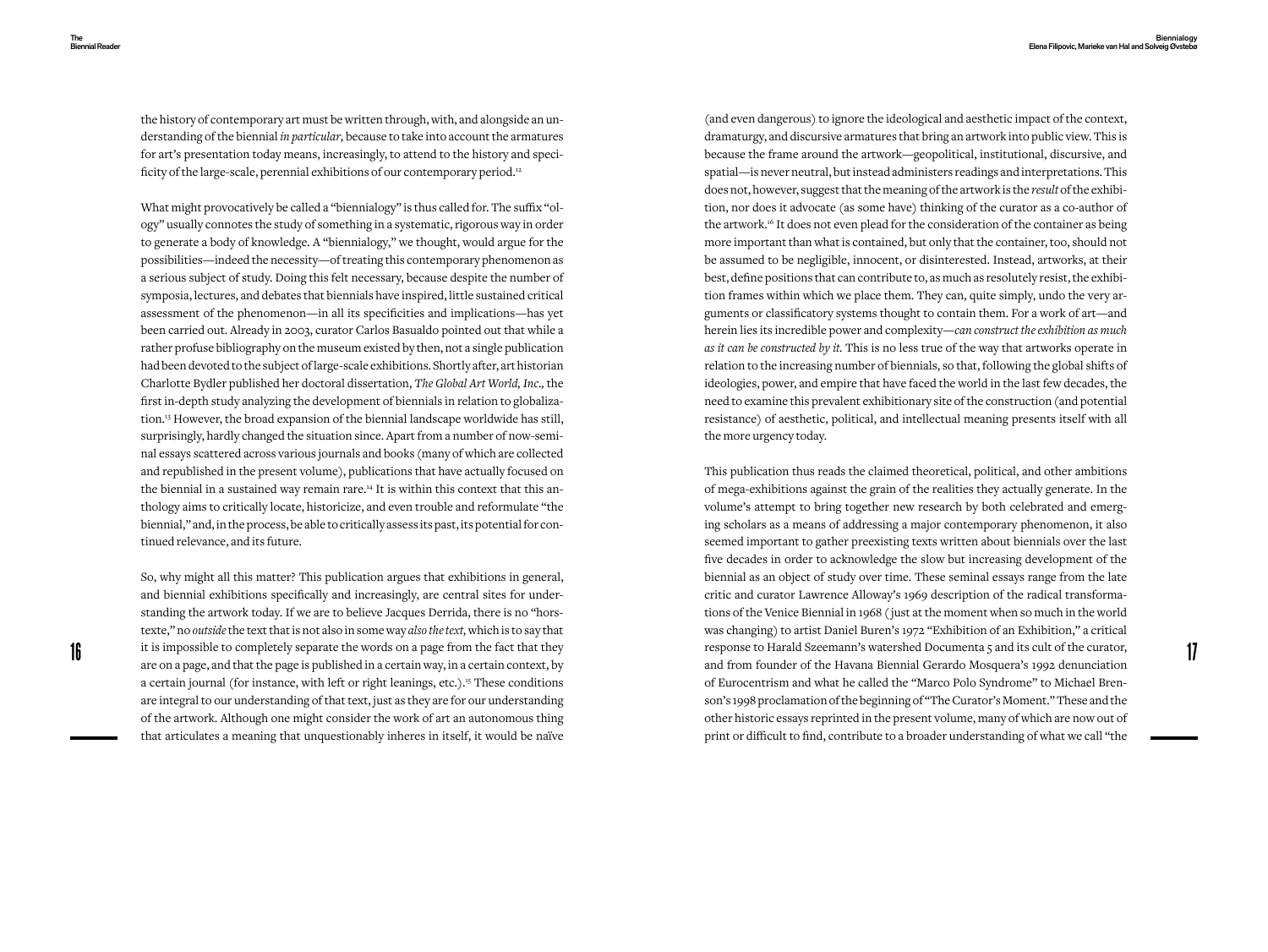the history of contemporary art must be written through, with, and alongside an understanding of the biennial *in particular,* because to take into account the armatures for art's presentation today means, increasingly, to attend to the history and specificity of the large-scale, perennial exhibitions of our contemporary period.<sup>12</sup>

What might provocatively be called a "biennialogy" is thus called for. The suffix "ology" usually connotes the study of something in a systematic, rigorous way in order to generate a body of knowledge. A "biennialogy," we thought, would argue for the possibilities—indeed the necessity—of treating this contemporary phenomenon as a serious subject of study. Doing this felt necessary, because despite the number of symposia, lectures, and debates that biennials have inspired, little sustained critical assessment of the phenomenon—in all its specificities and implications—has yet been carried out. Already in 2003, curator Carlos Basualdo pointed out that while a rather profuse bibliography on the museum existed by then, not a single publication had been devoted to the subject of large-scale exhibitions. Shortly after, art historian Charlotte Bydler published her doctoral dissertation, *The Global Art World, Inc*.*,* the first in-depth study analyzing the development of biennials in relation to globalization.13 However, the broad expansion of the biennial landscape worldwide has still, surprisingly, hardly changed the situation since. Apart from a number of now-seminal essays scattered across various journals and books (many of which are collected and republished in the present volume), publications that have actually focused on the biennial in a sustained way remain rare.<sup>14</sup> It is within this context that this anthology aims to critically locate, historicize, and even trouble and reformulate "the biennial," and, in the process, be able to critically assess its past, its potential for continued relevance, and its future.

So, why might all this matter? This publication argues that exhibitions in general, and biennial exhibitions specifically and increasingly, are central sites for understanding the artwork today. If we are to believe Jacques Derrida, there is no "horstexte," no *outside* the text that is not also in some way *also the text,* which is to say that are on a page, and that the page is published in a certain way, in a certain context, by a certain journal (for instance, with left or right leanings, etc.).<sup>15</sup> These conditions are integral to our understanding of that text, just as they are for our understanding of the artwork. Although one might consider the work of art an autonomous thing that articulates a meaning that unquestionably inheres in itself, it would be naïve

(and even dangerous) to ignore the ideological and aesthetic impact of the context, dramaturgy, and discursive armatures that bring an artwork into public view. This is because the frame around the artwork—geopolitical, institutional, discursive, and spatial—is never neutral, but instead administers readings and interpretations. This does not, however, suggest that the meaning of the artwork is the *result* of the exhibition, nor does it advocate (as some have) thinking of the curator as a co-author of the artwork.<sup>16</sup> It does not even plead for the consideration of the container as being more important than what is contained, but only that the container, too, should not be assumed to be negligible, innocent, or disinterested. Instead, artworks, at their best, define positions that can contribute to, as much as resolutely resist, the exhibition frames within which we place them. They can, quite simply, undo the very arguments or classificatory systems thought to contain them. For a work of art—and herein lies its incredible power and complexity—*can construct the exhibition as much as it can be constructed by it.* This is no less true of the way that artworks operate in relation to the increasing number of biennials, so that, following the global shifts of ideologies, power, and empire that have faced the world in the last few decades, the need to examine this prevalent exhibitionary site of the construction (and potential resistance) of aesthetic, political, and intellectual meaning presents itself with all the more urgency today.

If  $\mathbf{r}$  it is impossible to completely separate the words on a page from the fact that they response to Harald Szeemann's watershed Documenta 5 and its cult of the curator,  $\mathbf{r}$ This publication thus reads the claimed theoretical, political, and other ambitions of mega-exhibitions against the grain of the realities they actually generate. In the volume's attempt to bring together new research by both celebrated and emerging scholars as a means of addressing a major contemporary phenomenon, it also seemed important to gather preexisting texts written about biennials over the last five decades in order to acknowledge the slow but increasing development of the biennial as an object of study over time. These seminal essays range from the late critic and curator Lawrence Alloway's 1969 description of the radical transformations of the Venice Biennial in 1968 ( just at the moment when so much in the world was changing) to artist Daniel Buren's 1972 "Exhibition of an Exhibition," a critical response to Harald Szeemann's watershed Documenta 5 and its cult of the curator, and from founder of the Havana Biennial Gerardo Mosquera's 1992 denunciation of Eurocentrism and what he called the "Marco Polo Syndrome" to Michael Brenson's 1998 proclamation of the beginning of "The Curator's Moment." These and the other historic essays reprinted in the present volume, many of which are now out of print or difficult to find, contribute to a broader understanding of what we call "the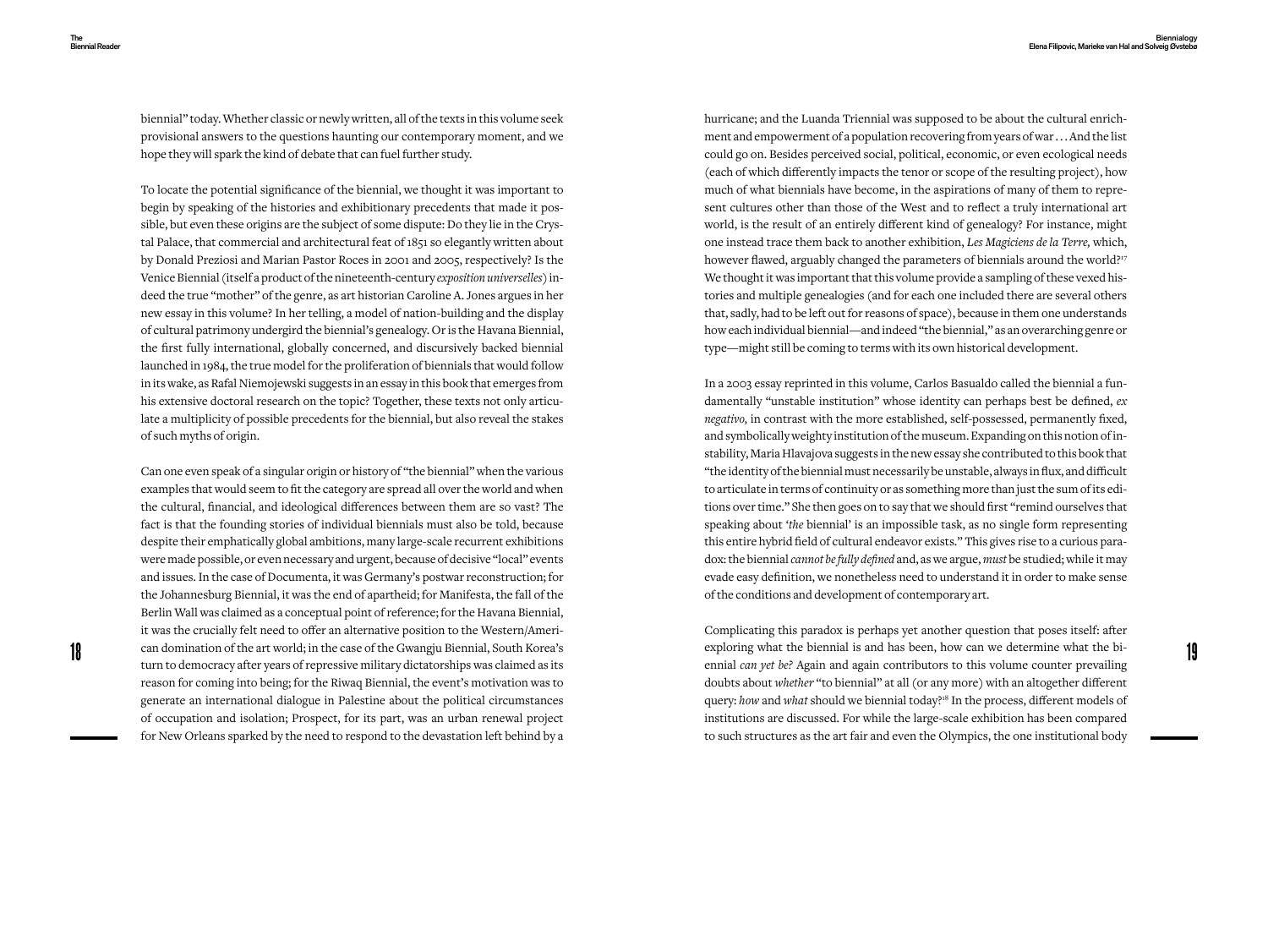biennial" today. Whether classic or newly written, all of the texts in this volume seek provisional answers to the questions haunting our contemporary moment, and we hope they will spark the kind of debate that can fuel further study.

To locate the potential significance of the biennial, we thought it was important to begin by speaking of the histories and exhibitionary precedents that made it possible, but even these origins are the subject of some dispute: Do they lie in the Crystal Palace, that commercial and architectural feat of 1851 so elegantly written about by Donald Preziosi and Marian Pastor Roces in 2001 and 2005, respectively? Is the Venice Biennial (itself a product of the nineteenth-century *exposition universelles*) indeed the true "mother" of the genre, as art historian Caroline A. Jones argues in her new essay in this volume? In her telling, a model of nation-building and the display of cultural patrimony undergird the biennial's genealogy. Or is the Havana Biennial, the first fully international, globally concerned, and discursively backed biennial launched in 1984, the true model for the proliferation of biennials that would follow in its wake, as Rafal Niemojewski suggests in an essay in this book that emerges from his extensive doctoral research on the topic? Together, these texts not only articulate a multiplicity of possible precedents for the biennial, but also reveal the stakes of such myths of origin.

Can one even speak of a singular origin or history of "the biennial" when the various examples that would seem to fit the category are spread all over the world and when the cultural, financial, and ideological differences between them are so vast? The fact is that the founding stories of individual biennials must also be told, because despite their emphatically global ambitions, many large-scale recurrent exhibitions were made possible, or even necessary and urgent, because of decisive "local" events and issues. In the case of Documenta, it was Germany's postwar reconstruction; for the Johannesburg Biennial, it was the end of apartheid; for Manifesta, the fall of the Berlin Wall was claimed as a conceptual point of reference; for the Havana Biennial, it was the crucially felt need to offer an alternative position to the Western/Ameriturn to democracy after years of repressive military dictatorships was claimed as its reason for coming into being; for the Riwaq Biennial, the event's motivation was to generate an international dialogue in Palestine about the political circumstances of occupation and isolation; Prospect, for its part, was an urban renewal project for New Orleans sparked by the need to respond to the devastation left behind by a

hurricane; and the Luanda Triennial was supposed to be about the cultural enrichment and empowerment of a population recovering from years of war . . . And the list could go on. Besides perceived social, political, economic, or even ecological needs (each of which differently impacts the tenor or scope of the resulting project), how much of what biennials have become, in the aspirations of many of them to represent cultures other than those of the West and to reflect a truly international art world, is the result of an entirely different kind of genealogy? For instance, might one instead trace them back to another exhibition, *Les Magiciens de la Terre,* which, however flawed, arguably changed the parameters of biennials around the world?<sup>17</sup> We thought it was important that this volume provide a sampling of these vexed histories and multiple genealogies (and for each one included there are several others that, sadly, had to be left out for reasons of space), because in them one understands how each individual biennial—and indeed "the biennial," as an overarching genre or type—might still be coming to terms with its own historical development.

In a 2003 essay reprinted in this volume, Carlos Basualdo called the biennial a fundamentally "unstable institution" whose identity can perhaps best be defined, *ex negativo,* in contrast with the more established, self-possessed, permanently fixed, and symbolically weighty institution of the museum. Expanding on this notion of instability, Maria Hlavajova suggests in the new essay she contributed to this book that "the identity of the biennial must necessarily be unstable, always in flux, and difficult to articulate in terms of continuity or as something more than just the sum of its editions over time." She then goes on to say that we should first "remind ourselves that speaking about '*the* biennial' is an impossible task, as no single form representing this entire hybrid field of cultural endeavor exists." This gives rise to a curious paradox: the biennial *cannot be fully defined* and, as we argue, *must* be studied; while it may evade easy definition, we nonetheless need to understand it in order to make sense of the conditions and development of contemporary art.

18 19 can domination of the art world; in the case of the Gwangju Biennial, South Korea's Complicating this paradox is perhaps yet another question that poses itself: after exploring what the biennial is and has been, how can we determine what the biennial *can yet be?* Again and again contributors to this volume counter prevailing doubts about *whether* "to biennial" at all (or any more) with an altogether different query: how and what should we biennial today?<sup>18</sup> In the process, different models of institutions are discussed. For while the large-scale exhibition has been compared to such structures as the art fair and even the Olympics, the one institutional body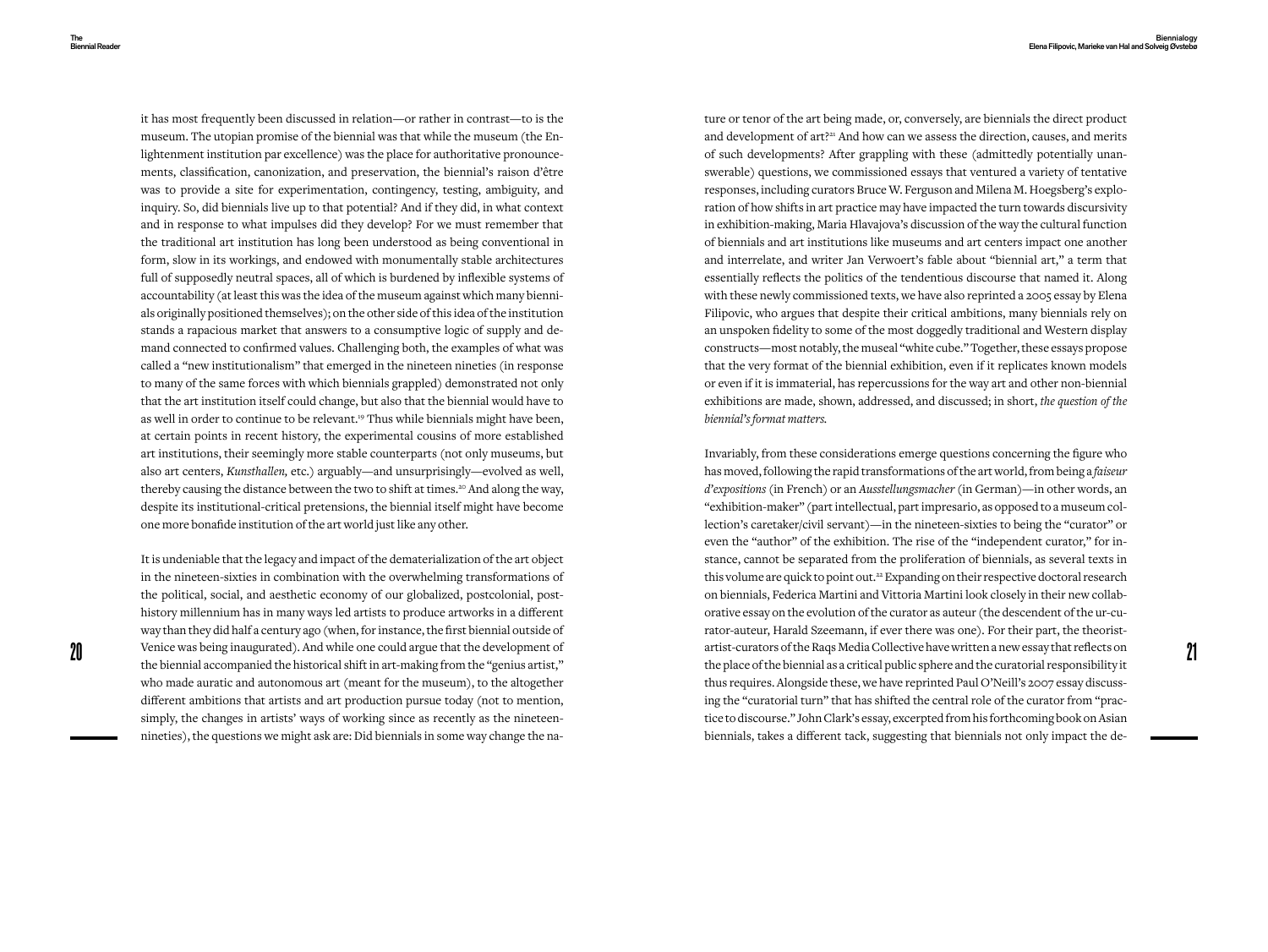it has most frequently been discussed in relation—or rather in contrast—to is the museum. The utopian promise of the biennial was that while the museum (the Enlightenment institution par excellence) was the place for authoritative pronouncements, classification, canonization, and preservation, the biennial's raison d'être was to provide a site for experimentation, contingency, testing, ambiguity, and inquiry. So, did biennials live up to that potential? And if they did, in what context and in response to what impulses did they develop? For we must remember that the traditional art institution has long been understood as being conventional in form, slow in its workings, and endowed with monumentally stable architectures full of supposedly neutral spaces, all of which is burdened by inflexible systems of accountability (at least this was the idea of the museum against which many biennials originally positioned themselves); on the other side of this idea of the institution stands a rapacious market that answers to a consumptive logic of supply and demand connected to confirmed values. Challenging both, the examples of what was called a "new institutionalism" that emerged in the nineteen nineties (in response to many of the same forces with which biennials grappled) demonstrated not only that the art institution itself could change, but also that the biennial would have to as well in order to continue to be relevant.<sup>19</sup> Thus while biennials might have been, at certain points in recent history, the experimental cousins of more established art institutions, their seemingly more stable counterparts (not only museums, but also art centers, *Kunsthallen,* etc.) arguably—and unsurprisingly—evolved as well, thereby causing the distance between the two to shift at times.<sup>20</sup> And along the way, despite its institutional-critical pretensions, the biennial itself might have become one more bonafide institution of the art world just like any other.

It is undeniable that the legacy and impact of the dematerialization of the art object in the nineteen-sixties in combination with the overwhelming transformations of the political, social, and aesthetic economy of our globalized, postcolonial, posthistory millennium has in many ways led artists to produce artworks in a different way than they did half a century ago (when, for instance, the first biennial outside of the biennial accompanied the historical shift in art-making from the "genius artist," who made auratic and autonomous art (meant for the museum), to the altogether different ambitions that artists and art production pursue today (not to mention, simply, the changes in artists' ways of working since as recently as the nineteennineties), the questions we might ask are: Did biennials in some way change the nature or tenor of the art being made, or, conversely, are biennials the direct product and development of art?<sup>21</sup> And how can we assess the direction, causes, and merits of such developments? After grappling with these (admittedly potentially unanswerable) questions, we commissioned essays that ventured a variety of tentative responses, including curators Bruce W. Ferguson and Milena M. Hoegsberg's exploration of how shifts in art practice may have impacted the turn towards discursivity in exhibition-making, Maria Hlavajova's discussion of the way the cultural function of biennials and art institutions like museums and art centers impact one another and interrelate, and writer Jan Verwoert's fable about "biennial art," a term that essentially reflects the politics of the tendentious discourse that named it. Along with these newly commissioned texts, we have also reprinted a 2005 essay by Elena Filipovic, who argues that despite their critical ambitions, many biennials rely on an unspoken fidelity to some of the most doggedly traditional and Western display constructs—most notably, the museal "white cube." Together, these essays propose that the very format of the biennial exhibition, even if it replicates known models or even if it is immaterial, has repercussions for the way art and other non-biennial exhibitions are made, shown, addressed, and discussed; in short, *the question of the biennial's format matters.*

20 Venice was being inaugurated). And while one could argue that the development of artist-curators of the Raqs Media Collective have written a new essay that reflects on<br>the place of the blend are and the curatorial respo Invariably, from these considerations emerge questions concerning the figure who has moved, following the rapid transformations of the art world, from being a *faiseur d'expositions* (in French) or an *Ausstellungsmacher* (in German)—in other words, an "exhibition-maker" (part intellectual, part impresario, as opposed to a museum collection's caretaker/civil servant)—in the nineteen-sixties to being the "curator" or even the "author" of the exhibition. The rise of the "independent curator," for instance, cannot be separated from the proliferation of biennials, as several texts in this volume are quick to point out.<sup>22</sup> Expanding on their respective doctoral research on biennials, Federica Martini and Vittoria Martini look closely in their new collaborative essay on the evolution of the curator as auteur (the descendent of the ur-curator-auteur, Harald Szeemann, if ever there was one). For their part, the theoristartist-curators of the Raqs Media Collective have written a new essay that reflects on the place of the biennial as a critical public sphere and the curatorial responsibility it thus requires. Alongside these, we have reprinted Paul O'Neill's 2007 essay discussing the "curatorial turn" that has shifted the central role of the curator from "practice to discourse." John Clark's essay, excerpted from his forthcoming book on Asian biennials, takes a different tack, suggesting that biennials not only impact the de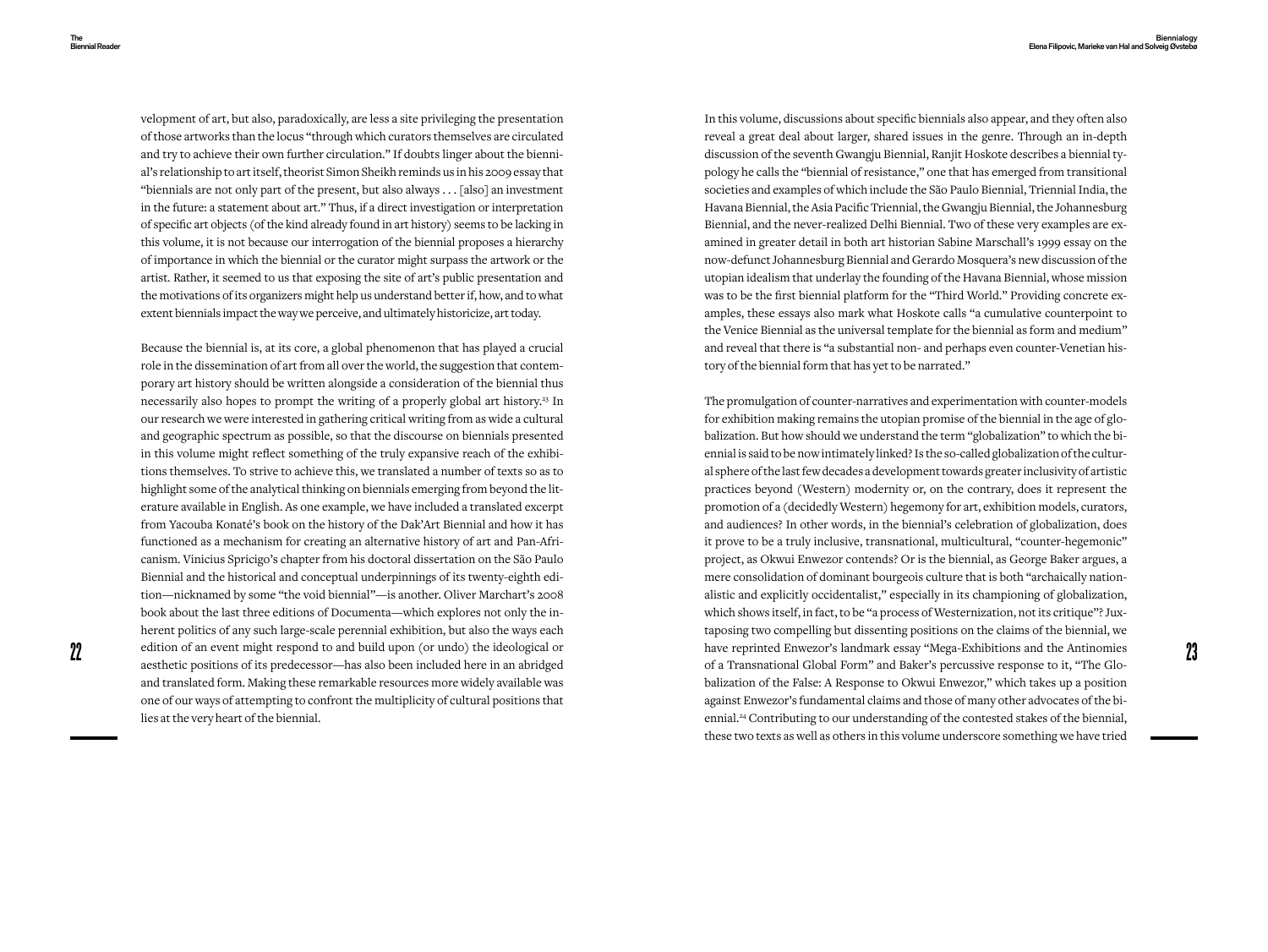velopment of art, but also, paradoxically, are less a site privileging the presentation of those artworks than the locus "through which curators themselves are circulated and try to achieve their own further circulation." If doubts linger about the biennial's relationship to art itself, theorist Simon Sheikh reminds us in his 2009 essay that "biennials are not only part of the present, but also always . . . [also] an investment in the future: a statement about art." Thus, if a direct investigation or interpretation of specific art objects (of the kind already found in art history) seems to be lacking in this volume, it is not because our interrogation of the biennial proposes a hierarchy of importance in which the biennial or the curator might surpass the artwork or the artist. Rather, it seemed to us that exposing the site of art's public presentation and the motivations of its organizers might help us understand better if, how, and to what extent biennials impact the way we perceive, and ultimately historicize, art today.

Because the biennial is, at its core, a global phenomenon that has played a crucial role in the dissemination of art from all over the world, the suggestion that contemporary art history should be written alongside a consideration of the biennial thus necessarily also hopes to prompt the writing of a properly global art history.<sup>23</sup> In our research we were interested in gathering critical writing from as wide a cultural and geographic spectrum as possible, so that the discourse on biennials presented in this volume might reflect something of the truly expansive reach of the exhibitions themselves. To strive to achieve this, we translated a number of texts so as to highlight some of the analytical thinking on biennials emerging from beyond the literature available in English. As one example, we have included a translated excerpt from Yacouba Konaté's book on the history of the Dak'Art Biennial and how it has functioned as a mechanism for creating an alternative history of art and Pan-Africanism. Vinicius Spricigo's chapter from his doctoral dissertation on the São Paulo Biennial and the historical and conceptual underpinnings of its twenty-eighth edition—nicknamed by some "the void biennial"—is another. Oliver Marchart's 2008 book about the last three editions of Documenta—which explores not only the inherent politics of any such large-scale perennial exhibition, but also the ways each aesthetic positions of its predecessor—has also been included here in an abridged and translated form. Making these remarkable resources more widely available was one of our ways of attempting to confront the multiplicity of cultural positions that lies at the very heart of the biennial.

In this volume, discussions about specific biennials also appear, and they often also reveal a great deal about larger, shared issues in the genre. Through an in-depth discussion of the seventh Gwangju Biennial, Ranjit Hoskote describes a biennial typology he calls the "biennial of resistance," one that has emerged from transitional societies and examples of which include the São Paulo Biennial, Triennial India, the Havana Biennial, the Asia Pacific Triennial, the Gwangju Biennial, the Johannesburg Biennial, and the never-realized Delhi Biennial. Two of these very examples are examined in greater detail in both art historian Sabine Marschall's 1999 essay on the now-defunct Johannesburg Biennial and Gerardo Mosquera's new discussion of the utopian idealism that underlay the founding of the Havana Biennial, whose mission was to be the first biennial platform for the "Third World." Providing concrete examples, these essays also mark what Hoskote calls "a cumulative counterpoint to the Venice Biennial as the universal template for the biennial as form and medium" and reveal that there is "a substantial non- and perhaps even counter-Venetian history of the biennial form that has yet to be narrated."

22 23 edition of an event might respond to and build upon (or undo) the ideological or The promulgation of counter-narratives and experimentation with counter-models for exhibition making remains the utopian promise of the biennial in the age of globalization. But how should we understand the term "globalization" to which the biennial is said to be now intimately linked? Is the so-called globalization of the cultural sphere of the last few decades a development towards greater inclusivity of artistic practices beyond (Western) modernity or, on the contrary, does it represent the promotion of a (decidedly Western) hegemony for art, exhibition models, curators, and audiences? In other words, in the biennial's celebration of globalization, does it prove to be a truly inclusive, transnational, multicultural, "counter-hegemonic" project, as Okwui Enwezor contends? Or is the biennial, as George Baker argues, a mere consolidation of dominant bourgeois culture that is both "archaically nationalistic and explicitly occidentalist," especially in its championing of globalization, which shows itself, in fact, to be "a process of Westernization, not its critique"? Juxtaposing two compelling but dissenting positions on the claims of the biennial, we have reprinted Enwezor's landmark essay "Mega-Exhibitions and the Antinomies of a Transnational Global Form" and Baker's percussive response to it, "The Globalization of the False: A Response to Okwui Enwezor," which takes up a position against Enwezor's fundamental claims and those of many other advocates of the biennial.24 Contributing to our understanding of the contested stakes of the biennial, these two texts as well as others in this volume underscore something we have tried